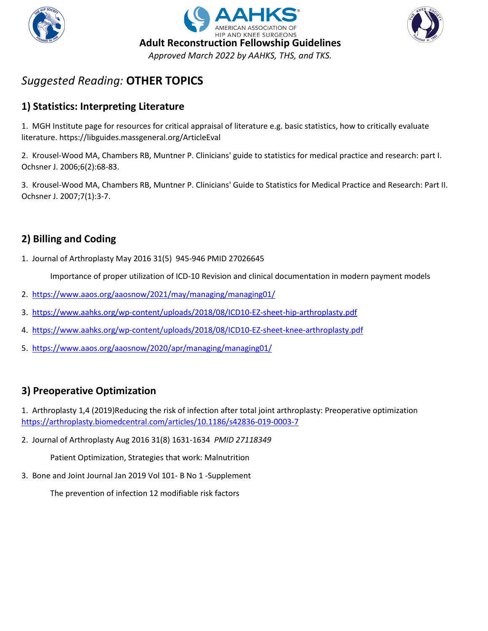





### **1) Statistics: Interpreting Literature**

1. MGH Institute page for resources for critical appraisal of literature e.g. basic statistics, how to critically evaluate literature. https://libguides.massgeneral.org/ArticleEval

2. Krousel-Wood MA, Chambers RB, Muntner P. Clinicians' guide to statistics for medical practice and research: part I. Ochsner J. 2006;6(2):68-83.

3. Krousel-Wood MA, Chambers RB, Muntner P. Clinicians' Guide to Statistics for Medical Practice and Research: Part II. Ochsner J. 2007;7(1):3-7.

### **2) Billing and Coding**

1. Journal of Arthroplasty May 2016 31(5) 945-946 PMID 27026645

Importance of proper utilization of ICD-10 Revision and clinical documentation in modern payment models

- 2. <https://www.aaos.org/aaosnow/2021/may/managing/managing01/>
- 3. <https://www.aahks.org/wp-content/uploads/2018/08/ICD10-EZ-sheet-hip-arthroplasty.pdf>
- 4. <https://www.aahks.org/wp-content/uploads/2018/08/ICD10-EZ-sheet-knee-arthroplasty.pdf>
- 5. <https://www.aaos.org/aaosnow/2020/apr/managing/managing01/>

### **3) Preoperative Optimization**

1. Arthroplasty 1,4 (2019)Reducing the risk of infection after total joint arthroplasty: Preoperative optimization <https://arthroplasty.biomedcentral.com/articles/10.1186/s42836-019-0003-7>

2. Journal of Arthroplasty Aug 2016 31(8) 1631-1634 *PMID 27118349*

Patient Optimization, Strategies that work: Malnutrition

3. Bone and Joint Journal Jan 2019 Vol 101- B No 1 -Supplement

The prevention of infection 12 modifiable risk factors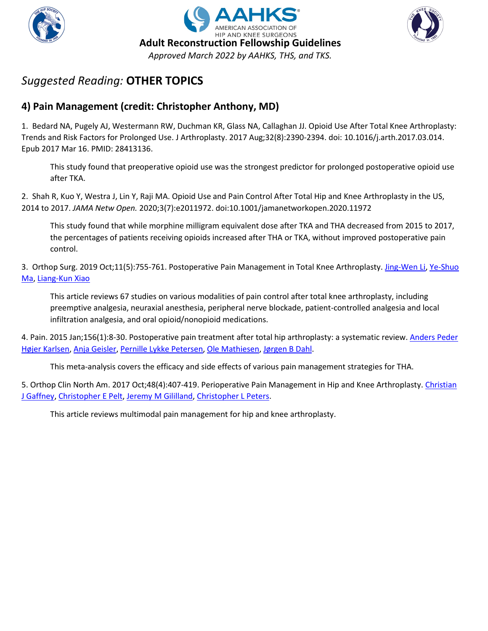





### **4) Pain Management (credit: Christopher Anthony, MD)**

1. Bedard NA, Pugely AJ, Westermann RW, Duchman KR, Glass NA, Callaghan JJ. Opioid Use After Total Knee Arthroplasty: Trends and Risk Factors for Prolonged Use. J Arthroplasty. 2017 Aug;32(8):2390-2394. doi: 10.1016/j.arth.2017.03.014. Epub 2017 Mar 16. PMID: 28413136.

This study found that preoperative opioid use was the strongest predictor for prolonged postoperative opioid use after TKA.

2. Shah R, Kuo Y, Westra J, Lin Y, Raji MA. Opioid Use and Pain Control After Total Hip and Knee Arthroplasty in the US, 2014 to 2017. *JAMA Netw Open.* 2020;3(7):e2011972. doi:10.1001/jamanetworkopen.2020.11972

This study found that while morphine milligram equivalent dose after TKA and THA decreased from 2015 to 2017, the percentages of patients receiving opioids increased after THA or TKA, without improved postoperative pain control.

3. Orthop Surg. 2019 Oct;11(5):755-761. Postoperative Pain Management in Total Knee Arthroplasty. [Jing-Wen Li,](https://pubmed.ncbi.nlm.nih.gov/?term=Li+JW&cauthor_id=31663286) [Ye-Shuo](https://pubmed.ncbi.nlm.nih.gov/?term=Ma+YS&cauthor_id=31663286)  [Ma,](https://pubmed.ncbi.nlm.nih.gov/?term=Ma+YS&cauthor_id=31663286) [Liang-Kun Xiao](https://pubmed.ncbi.nlm.nih.gov/?term=Xiao+LK&cauthor_id=31663286)

This article reviews 67 studies on various modalities of pain control after total knee arthroplasty, including preemptive analgesia, neuraxial anesthesia, peripheral nerve blockade, patient-controlled analgesia and local infiltration analgesia, and oral opioid/nonopioid medications.

4. Pain. 2015 Jan;156(1):8-30. Postoperative pain treatment after total hip arthroplasty: a systematic review[. Anders Peder](https://pubmed.ncbi.nlm.nih.gov/?term=H%C3%B8jer+Karlsen+AP&cauthor_id=25599296)  [Højer Karlsen,](https://pubmed.ncbi.nlm.nih.gov/?term=H%C3%B8jer+Karlsen+AP&cauthor_id=25599296) [Anja Geisler,](https://pubmed.ncbi.nlm.nih.gov/?term=Geisler+A&cauthor_id=25599296) [Pernille Lykke Petersen,](https://pubmed.ncbi.nlm.nih.gov/?term=Petersen+PL&cauthor_id=25599296) [Ole Mathiesen,](https://pubmed.ncbi.nlm.nih.gov/?term=Mathiesen+O&cauthor_id=25599296) [Jørgen B Dahl.](https://pubmed.ncbi.nlm.nih.gov/?term=Dahl+JB&cauthor_id=25599296)

This meta-analysis covers the efficacy and side effects of various pain management strategies for THA.

5. Orthop Clin North Am. 2017 Oct;48(4):407-419. Perioperative Pain Management in Hip and Knee Arthroplasty. Christian [J Gaffney,](https://pubmed.ncbi.nlm.nih.gov/?term=Gaffney+CJ&cauthor_id=28870302) [Christopher E Pelt,](https://pubmed.ncbi.nlm.nih.gov/?term=Pelt+CE&cauthor_id=28870302) [Jeremy M Gililland,](https://pubmed.ncbi.nlm.nih.gov/?term=Gililland+JM&cauthor_id=28870302) [Christopher L Peters.](https://pubmed.ncbi.nlm.nih.gov/?term=Peters+CL&cauthor_id=28870302)

This article reviews multimodal pain management for hip and knee arthroplasty.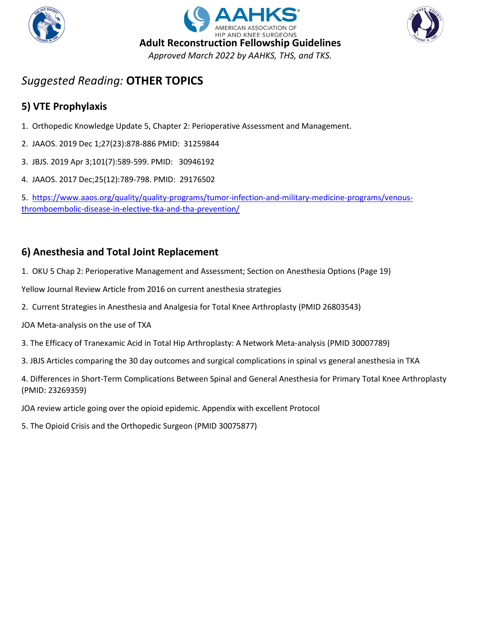





### **5) VTE Prophylaxis**

- 1. Orthopedic Knowledge Update 5, Chapter 2: Perioperative Assessment and Management.
- 2. JAAOS. 2019 Dec 1;27(23):878-886 PMID: 31259844
- 3. JBJS. 2019 Apr 3;101(7):589-599. PMID: 30946192
- 4. JAAOS. 2017 Dec;25(12):789-798. PMID: 29176502

5. [https://www.aaos.org/quality/quality-programs/tumor-infection-and-military-medicine-programs/venous](https://www.aaos.org/quality/quality-programs/tumor-infection-and-military-medicine-programs/venous-thromboembolic-disease-in-elective-tka-and-tha-prevention/)[thromboembolic-disease-in-elective-tka-and-tha-prevention/](https://www.aaos.org/quality/quality-programs/tumor-infection-and-military-medicine-programs/venous-thromboembolic-disease-in-elective-tka-and-tha-prevention/)

### **6) Anesthesia and Total Joint Replacement**

1. OKU 5 Chap 2: Perioperative Management and Assessment; Section on Anesthesia Options (Page 19)

Yellow Journal Review Article from 2016 on current anesthesia strategies

- 2. Current Strategies in Anesthesia and Analgesia for Total Knee Arthroplasty (PMID 26803543)
- JOA Meta-analysis on the use of TXA
- 3. The Efficacy of Tranexamic Acid in Total Hip Arthroplasty: A Network Meta-analysis (PMID 30007789)
- 3. JBJS Articles comparing the 30 day outcomes and surgical complications in spinal vs general anesthesia in TKA

4. Differences in Short-Term Complications Between Spinal and General Anesthesia for Primary Total Knee Arthroplasty (PMID: 23269359)

JOA review article going over the opioid epidemic. Appendix with excellent Protocol

5. The Opioid Crisis and the Orthopedic Surgeon (PMID 30075877)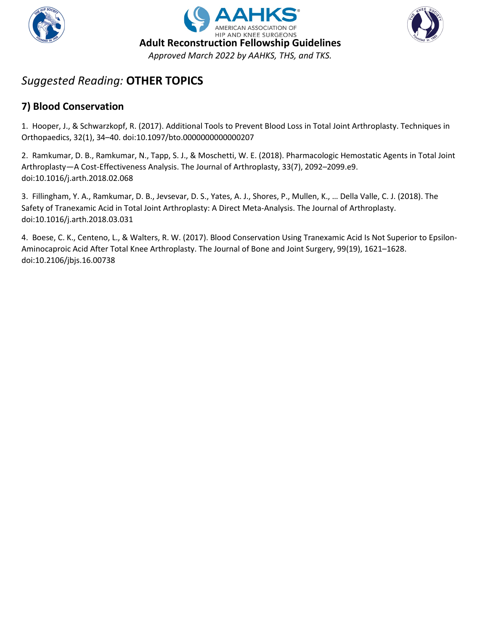





### **7) Blood Conservation**

1. Hooper, J., & Schwarzkopf, R. (2017). Additional Tools to Prevent Blood Loss in Total Joint Arthroplasty. Techniques in Orthopaedics, 32(1), 34–40. doi:10.1097/bto.0000000000000207

2. Ramkumar, D. B., Ramkumar, N., Tapp, S. J., & Moschetti, W. E. (2018). Pharmacologic Hemostatic Agents in Total Joint Arthroplasty—A Cost-Effectiveness Analysis. The Journal of Arthroplasty, 33(7), 2092–2099.e9. doi:10.1016/j.arth.2018.02.068

3. Fillingham, Y. A., Ramkumar, D. B., Jevsevar, D. S., Yates, A. J., Shores, P., Mullen, K., … Della Valle, C. J. (2018). The Safety of Tranexamic Acid in Total Joint Arthroplasty: A Direct Meta-Analysis. The Journal of Arthroplasty. doi:10.1016/j.arth.2018.03.031

4. Boese, C. K., Centeno, L., & Walters, R. W. (2017). Blood Conservation Using Tranexamic Acid Is Not Superior to Epsilon-Aminocaproic Acid After Total Knee Arthroplasty. The Journal of Bone and Joint Surgery, 99(19), 1621–1628. doi:10.2106/jbjs.16.00738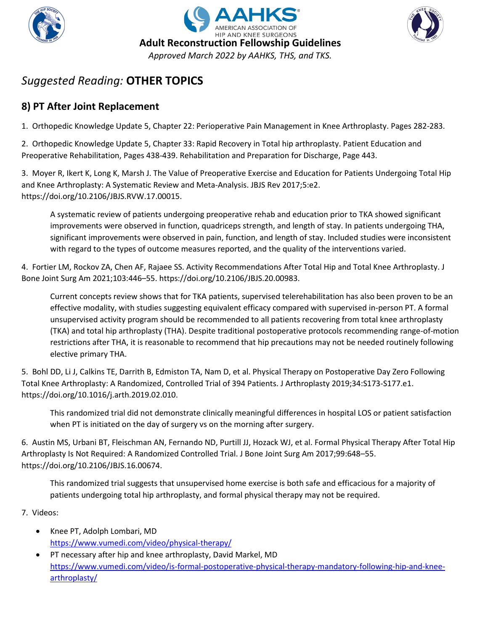





### **8) PT After Joint Replacement**

1. Orthopedic Knowledge Update 5, Chapter 22: Perioperative Pain Management in Knee Arthroplasty. Pages 282-283.

2. Orthopedic Knowledge Update 5, Chapter 33: Rapid Recovery in Total hip arthroplasty. Patient Education and Preoperative Rehabilitation, Pages 438-439. Rehabilitation and Preparation for Discharge, Page 443.

3. Moyer R, Ikert K, Long K, Marsh J. The Value of Preoperative Exercise and Education for Patients Undergoing Total Hip and Knee Arthroplasty: A Systematic Review and Meta-Analysis. JBJS Rev 2017;5:e2. https://doi.org/10.2106/JBJS.RVW.17.00015.

A systematic review of patients undergoing preoperative rehab and education prior to TKA showed significant improvements were observed in function, quadriceps strength, and length of stay. In patients undergoing THA, significant improvements were observed in pain, function, and length of stay. Included studies were inconsistent with regard to the types of outcome measures reported, and the quality of the interventions varied.

4. Fortier LM, Rockov ZA, Chen AF, Rajaee SS. Activity Recommendations After Total Hip and Total Knee Arthroplasty. J Bone Joint Surg Am 2021;103:446–55. https://doi.org/10.2106/JBJS.20.00983.

Current concepts review shows that for TKA patients, supervised telerehabilitation has also been proven to be an effective modality, with studies suggesting equivalent efficacy compared with supervised in-person PT. A formal unsupervised activity program should be recommended to all patients recovering from total knee arthroplasty (TKA) and total hip arthroplasty (THA). Despite traditional postoperative protocols recommending range-of-motion restrictions after THA, it is reasonable to recommend that hip precautions may not be needed routinely following elective primary THA.

5. Bohl DD, Li J, Calkins TE, Darrith B, Edmiston TA, Nam D, et al. Physical Therapy on Postoperative Day Zero Following Total Knee Arthroplasty: A Randomized, Controlled Trial of 394 Patients. J Arthroplasty 2019;34:S173-S177.e1. https://doi.org/10.1016/j.arth.2019.02.010.

This randomized trial did not demonstrate clinically meaningful differences in hospital LOS or patient satisfaction when PT is initiated on the day of surgery vs on the morning after surgery.

6. Austin MS, Urbani BT, Fleischman AN, Fernando ND, Purtill JJ, Hozack WJ, et al. Formal Physical Therapy After Total Hip Arthroplasty Is Not Required: A Randomized Controlled Trial. J Bone Joint Surg Am 2017;99:648–55. https://doi.org/10.2106/JBJS.16.00674.

This randomized trial suggests that unsupervised home exercise is both safe and efficacious for a majority of patients undergoing total hip arthroplasty, and formal physical therapy may not be required.

7. Videos:

- Knee PT, Adolph Lombari, MD <https://www.vumedi.com/video/physical-therapy/>
- PT necessary after hip and knee arthroplasty, David Markel, MD [https://www.vumedi.com/video/is-formal-postoperative-physical-therapy-mandatory-following-hip-and-knee](https://www.vumedi.com/video/is-formal-postoperative-physical-therapy-mandatory-following-hip-and-knee-arthroplasty/)[arthroplasty/](https://www.vumedi.com/video/is-formal-postoperative-physical-therapy-mandatory-following-hip-and-knee-arthroplasty/)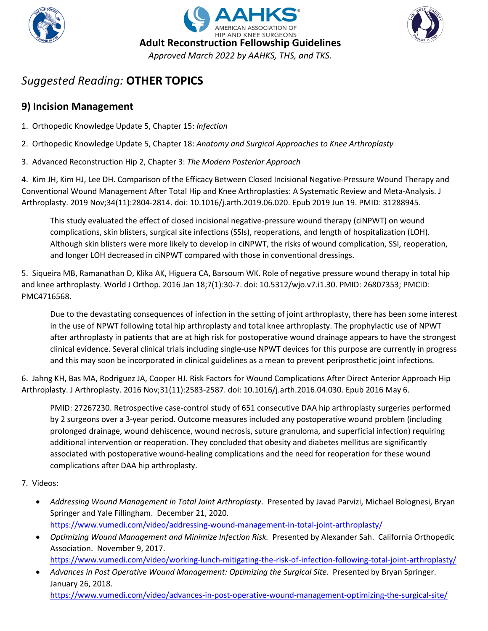





### **9) Incision Management**

- 1. Orthopedic Knowledge Update 5, Chapter 15: *Infection*
- 2. Orthopedic Knowledge Update 5, Chapter 18: *Anatomy and Surgical Approaches to Knee Arthroplasty*
- 3. Advanced Reconstruction Hip 2, Chapter 3: *The Modern Posterior Approach*

4. Kim JH, Kim HJ, Lee DH. Comparison of the Efficacy Between Closed Incisional Negative-Pressure Wound Therapy and Conventional Wound Management After Total Hip and Knee Arthroplasties: A Systematic Review and Meta-Analysis. J Arthroplasty. 2019 Nov;34(11):2804-2814. doi: 10.1016/j.arth.2019.06.020. Epub 2019 Jun 19. PMID: 31288945.

This study evaluated the effect of closed incisional negative-pressure wound therapy (ciNPWT) on wound complications, skin blisters, surgical site infections (SSIs), reoperations, and length of hospitalization (LOH). Although skin blisters were more likely to develop in ciNPWT, the risks of wound complication, SSI, reoperation, and longer LOH decreased in ciNPWT compared with those in conventional dressings.

5. Siqueira MB, Ramanathan D, Klika AK, Higuera CA, Barsoum WK. Role of negative pressure wound therapy in total hip and knee arthroplasty. World J Orthop. 2016 Jan 18;7(1):30-7. doi: 10.5312/wjo.v7.i1.30. PMID: 26807353; PMCID: PMC4716568.

Due to the devastating consequences of infection in the setting of joint arthroplasty, there has been some interest in the use of NPWT following total hip arthroplasty and total knee arthroplasty. The prophylactic use of NPWT after arthroplasty in patients that are at high risk for postoperative wound drainage appears to have the strongest clinical evidence. Several clinical trials including single-use NPWT devices for this purpose are currently in progress and this may soon be incorporated in clinical guidelines as a mean to prevent periprosthetic joint infections.

6. Jahng KH, Bas MA, Rodriguez JA, Cooper HJ. Risk Factors for Wound Complications After Direct Anterior Approach Hip Arthroplasty. J Arthroplasty. 2016 Nov;31(11):2583-2587. doi: 10.1016/j.arth.2016.04.030. Epub 2016 May 6.

PMID: 27267230. Retrospective case-control study of 651 consecutive DAA hip arthroplasty surgeries performed by 2 surgeons over a 3-year period. Outcome measures included any postoperative wound problem (including prolonged drainage, wound dehiscence, wound necrosis, suture granuloma, and superficial infection) requiring additional intervention or reoperation. They concluded that obesity and diabetes mellitus are significantly associated with postoperative wound-healing complications and the need for reoperation for these wound complications after DAA hip arthroplasty.

#### 7. Videos:

- *Addressing Wound Management in Total Joint Arthroplasty*. Presented by Javad Parvizi, Michael Bolognesi, Bryan Springer and Yale Fillingham. December 21, 2020. <https://www.vumedi.com/video/addressing-wound-management-in-total-joint-arthroplasty/>
- *Optimizing Wound Management and Minimize Infection Risk.* Presented by Alexander Sah. California Orthopedic Association. November 9, 2017. <https://www.vumedi.com/video/working-lunch-mitigating-the-risk-of-infection-following-total-joint-arthroplasty/>
- *Advances in Post Operative Wound Management: Optimizing the Surgical Site.* Presented by Bryan Springer. January 26, 2018. <https://www.vumedi.com/video/advances-in-post-operative-wound-management-optimizing-the-surgical-site/>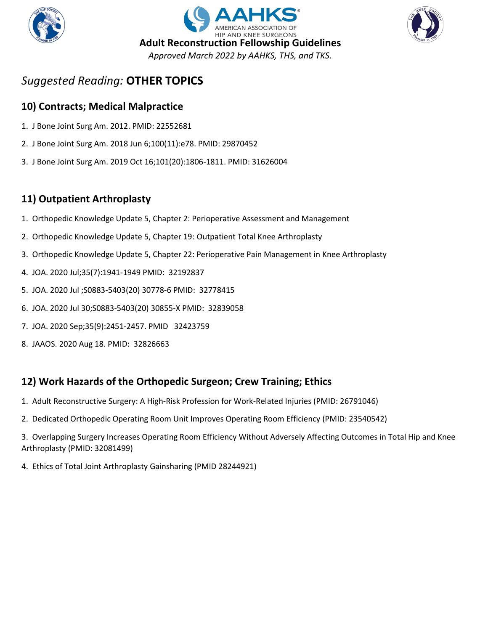





#### **10) Contracts; Medical Malpractice**

- 1. J Bone Joint Surg Am. 2012. PMID: 22552681
- 2. J Bone Joint Surg Am. 2018 Jun 6;100(11):e78. PMID: 29870452
- 3. J Bone Joint Surg Am. 2019 Oct 16;101(20):1806-1811. PMID: 31626004

#### **11) Outpatient Arthroplasty**

- 1. Orthopedic Knowledge Update 5, Chapter 2: Perioperative Assessment and Management
- 2. Orthopedic Knowledge Update 5, Chapter 19: Outpatient Total Knee Arthroplasty
- 3. Orthopedic Knowledge Update 5, Chapter 22: Perioperative Pain Management in Knee Arthroplasty
- 4. JOA. 2020 Jul;35(7):1941-1949 PMID: 32192837
- 5. JOA. 2020 Jul ;S0883-5403(20) 30778-6 PMID: 32778415
- 6. JOA. 2020 Jul 30;S0883-5403(20) 30855-X PMID: 32839058
- 7. JOA. 2020 Sep;35(9):2451-2457. PMID 32423759
- 8. JAAOS. 2020 Aug 18. PMID: 32826663

#### **12) Work Hazards of the Orthopedic Surgeon; Crew Training; Ethics**

- 1. Adult Reconstructive Surgery: A High-Risk Profession for Work-Related Injuries (PMID: 26791046)
- 2. Dedicated Orthopedic Operating Room Unit Improves Operating Room Efficiency (PMID: 23540542)

3. Overlapping Surgery Increases Operating Room Efficiency Without Adversely Affecting Outcomes in Total Hip and Knee Arthroplasty (PMID: 32081499)

4. Ethics of Total Joint Arthroplasty Gainsharing (PMID 28244921)